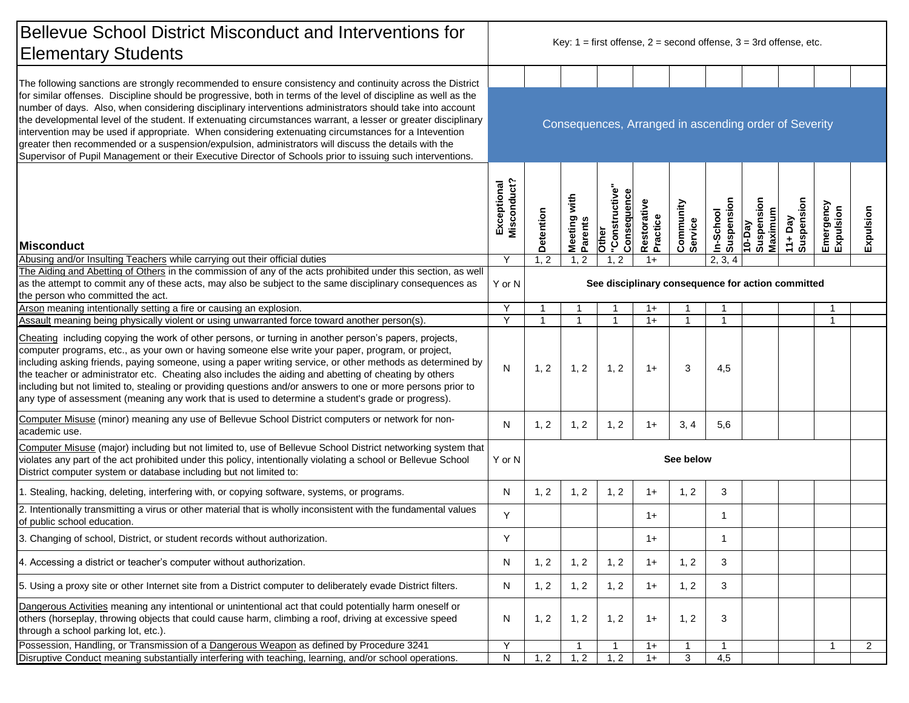| Bellevue School District Misconduct and Interventions for<br><b>Elementary Students</b>                                                                                                                                                                                                                                                                                                                                                                                                                                                                                                                                                                                       |                                                       | Key: $1 =$ first offense, $2 =$ second offense, $3 = 3$ rd offense, etc. |                            |                                      |                         |                      |                         |                                 |                      |                        |                |  |  |
|-------------------------------------------------------------------------------------------------------------------------------------------------------------------------------------------------------------------------------------------------------------------------------------------------------------------------------------------------------------------------------------------------------------------------------------------------------------------------------------------------------------------------------------------------------------------------------------------------------------------------------------------------------------------------------|-------------------------------------------------------|--------------------------------------------------------------------------|----------------------------|--------------------------------------|-------------------------|----------------------|-------------------------|---------------------------------|----------------------|------------------------|----------------|--|--|
| The following sanctions are strongly recommended to ensure consistency and continuity across the District                                                                                                                                                                                                                                                                                                                                                                                                                                                                                                                                                                     |                                                       |                                                                          |                            |                                      |                         |                      |                         |                                 |                      |                        |                |  |  |
| for similar offenses. Discipline should be progressive, both in terms of the level of discipline as well as the<br>number of days. Also, when considering disciplinary interventions administrators should take into account<br>the developmental level of the student. If extenuating circumstances warrant, a lesser or greater disciplinary<br>intervention may be used if appropriate. When considering extenuating circumstances for a Intevention<br>greater then recommended or a suspension/expulsion, administrators will discuss the details with the<br>Supervisor of Pupil Management or their Executive Director of Schools prior to issuing such interventions. | Consequences, Arranged in ascending order of Severity |                                                                          |                            |                                      |                         |                      |                         |                                 |                      |                        |                |  |  |
| <b>Misconduct</b>                                                                                                                                                                                                                                                                                                                                                                                                                                                                                                                                                                                                                                                             | Misconduct?<br>Exceptional                            | Detention                                                                | with<br>Meeting<br>Parents | "Constructive<br>Consequenc<br>Other | Restorative<br>Practice | Community<br>Service | In-School<br>Suspension | 10-Day<br>Suspension<br>Maximum | 11+Day<br>Suspension | Emergency<br>Expulsion | Expulsion      |  |  |
| Abusing and/or Insulting Teachers while carrying out their official duties                                                                                                                                                                                                                                                                                                                                                                                                                                                                                                                                                                                                    | Υ                                                     | 1, 2                                                                     | 1, 2                       | $\overline{2}$                       | $1+$                    |                      | 2, 3,<br>$\overline{4}$ |                                 |                      |                        |                |  |  |
| The Aiding and Abetting of Others in the commission of any of the acts prohibited under this section, as well<br>as the attempt to commit any of these acts, may also be subject to the same disciplinary consequences as<br>the person who committed the act.                                                                                                                                                                                                                                                                                                                                                                                                                | Y or N                                                | See disciplinary consequence for action committed                        |                            |                                      |                         |                      |                         |                                 |                      |                        |                |  |  |
| Arson meaning intentionally setting a fire or causing an explosion.                                                                                                                                                                                                                                                                                                                                                                                                                                                                                                                                                                                                           | Υ                                                     | $\mathbf 1$                                                              | $\mathbf{1}$               | -1                                   | $1+$                    |                      | -1                      |                                 |                      |                        |                |  |  |
| Assault meaning being physically violent or using unwarranted force toward another person(s).                                                                                                                                                                                                                                                                                                                                                                                                                                                                                                                                                                                 | Y                                                     | $\mathbf{1}$                                                             | $\mathbf{1}$               | $\overline{1}$                       | $1+$                    | $\overline{1}$       | $\overline{1}$          |                                 |                      |                        |                |  |  |
| Cheating including copying the work of other persons, or turning in another person's papers, projects,<br>computer programs, etc., as your own or having someone else write your paper, program, or project,<br>including asking friends, paying someone, using a paper writing service, or other methods as determined by<br>the teacher or administrator etc. Cheating also includes the aiding and abetting of cheating by others<br>including but not limited to, stealing or providing questions and/or answers to one or more persons prior to<br>any type of assessment (meaning any work that is used to determine a student's grade or progress).                    | N                                                     | 1, 2                                                                     | 1, 2                       | 1, 2                                 | $1+$                    | 3                    | 4,5                     |                                 |                      |                        |                |  |  |
| Computer Misuse (minor) meaning any use of Bellevue School District computers or network for non-<br>academic use.                                                                                                                                                                                                                                                                                                                                                                                                                                                                                                                                                            | N                                                     | 1, 2                                                                     | 1, 2                       | 1, 2                                 | $1+$                    | 3, 4                 | 5,6                     |                                 |                      |                        |                |  |  |
| Computer Misuse (major) including but not limited to, use of Bellevue School District networking system that<br>violates any part of the act prohibited under this policy, intentionally violating a school or Bellevue School<br>District computer system or database including but not limited to:                                                                                                                                                                                                                                                                                                                                                                          | Y or N                                                | See below                                                                |                            |                                      |                         |                      |                         |                                 |                      |                        |                |  |  |
| 1. Stealing, hacking, deleting, interfering with, or copying software, systems, or programs.                                                                                                                                                                                                                                                                                                                                                                                                                                                                                                                                                                                  | N                                                     | 1, 2                                                                     | 1, 2                       | 1, 2                                 | $1+$                    | 1, 2                 | 3                       |                                 |                      |                        |                |  |  |
| 2. Intentionally transmitting a virus or other material that is wholly inconsistent with the fundamental values<br>of public school education.                                                                                                                                                                                                                                                                                                                                                                                                                                                                                                                                | Y                                                     |                                                                          |                            |                                      | $1+$                    |                      | -1                      |                                 |                      |                        |                |  |  |
| 3. Changing of school, District, or student records without authorization.                                                                                                                                                                                                                                                                                                                                                                                                                                                                                                                                                                                                    | Y                                                     |                                                                          |                            |                                      | $1+$                    |                      |                         |                                 |                      |                        |                |  |  |
| 4. Accessing a district or teacher's computer without authorization.                                                                                                                                                                                                                                                                                                                                                                                                                                                                                                                                                                                                          | N                                                     | 1, 2                                                                     | 1, 2                       | 1, 2                                 | $1+$                    | 1, 2                 | 3                       |                                 |                      |                        |                |  |  |
| 5. Using a proxy site or other Internet site from a District computer to deliberately evade District filters.                                                                                                                                                                                                                                                                                                                                                                                                                                                                                                                                                                 | N                                                     | 1, 2                                                                     | 1, 2                       | 1, 2                                 | $1+$                    | 1, 2                 | 3                       |                                 |                      |                        |                |  |  |
| Dangerous Activities meaning any intentional or unintentional act that could potentially harm oneself or<br>others (horseplay, throwing objects that could cause harm, climbing a roof, driving at excessive speed<br>through a school parking lot, etc.).                                                                                                                                                                                                                                                                                                                                                                                                                    | N                                                     | 1, 2                                                                     | 1, 2                       | 1, 2                                 | $1+$                    | 1, 2                 | 3                       |                                 |                      |                        |                |  |  |
| Possession, Handling, or Transmission of a Dangerous Weapon as defined by Procedure 3241                                                                                                                                                                                                                                                                                                                                                                                                                                                                                                                                                                                      | Y                                                     |                                                                          | $\mathbf{1}$               | $\mathbf{1}$                         | $1+$                    | $\overline{1}$       | $\overline{1}$          |                                 |                      | $\mathbf{1}$           | $\overline{2}$ |  |  |
| Disruptive Conduct meaning substantially interfering with teaching, learning, and/or school operations.                                                                                                                                                                                                                                                                                                                                                                                                                                                                                                                                                                       | N                                                     | 1, 2                                                                     | 1, 2                       | 1, 2                                 | $1+$                    | 3                    | 4,5                     |                                 |                      |                        |                |  |  |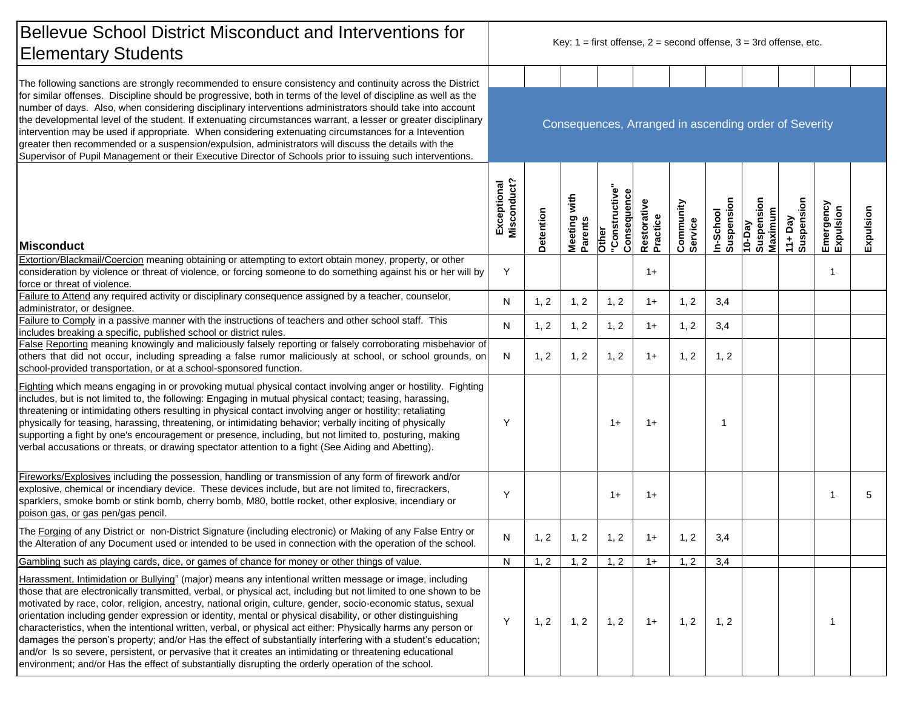| <b>Bellevue School District Misconduct and Interventions for</b><br><b>Elementary Students</b>                                                                                                                                                                                                                                                                                                                                                                                                                                                                                                                                                                                                                                                                                                                                                                                                                   | Key: $1 =$ first offense, $2 =$ second offense, $3 = 3$ rd offense, etc. |           |                         |                                                      |                         |                      |                         |                                         |                          |                        |           |
|------------------------------------------------------------------------------------------------------------------------------------------------------------------------------------------------------------------------------------------------------------------------------------------------------------------------------------------------------------------------------------------------------------------------------------------------------------------------------------------------------------------------------------------------------------------------------------------------------------------------------------------------------------------------------------------------------------------------------------------------------------------------------------------------------------------------------------------------------------------------------------------------------------------|--------------------------------------------------------------------------|-----------|-------------------------|------------------------------------------------------|-------------------------|----------------------|-------------------------|-----------------------------------------|--------------------------|------------------------|-----------|
| The following sanctions are strongly recommended to ensure consistency and continuity across the District                                                                                                                                                                                                                                                                                                                                                                                                                                                                                                                                                                                                                                                                                                                                                                                                        |                                                                          |           |                         |                                                      |                         |                      |                         |                                         |                          |                        |           |
| for similar offenses. Discipline should be progressive, both in terms of the level of discipline as well as the<br>number of days. Also, when considering disciplinary interventions administrators should take into account<br>the developmental level of the student. If extenuating circumstances warrant, a lesser or greater disciplinary<br>intervention may be used if appropriate. When considering extenuating circumstances for a Intevention<br>greater then recommended or a suspension/expulsion, administrators will discuss the details with the<br>Supervisor of Pupil Management or their Executive Director of Schools prior to issuing such interventions.                                                                                                                                                                                                                                    | Consequences, Arranged in ascending order of Severity                    |           |                         |                                                      |                         |                      |                         |                                         |                          |                        |           |
| <b>Misconduct</b>                                                                                                                                                                                                                                                                                                                                                                                                                                                                                                                                                                                                                                                                                                                                                                                                                                                                                                | Misconduct?<br>Exceptional                                               | Detention | Meeting with<br>Parents | <mark>Other</mark><br> "Constructive"<br>Consequence | Restorative<br>Practice | Community<br>Service | In-School<br>Suspension | Suspension<br>Maximum<br>$\sqrt{10-DA}$ | Suspension<br>$11 + Day$ | Emergency<br>Expulsion | Expulsion |
| Extortion/Blackmail/Coercion meaning obtaining or attempting to extort obtain money, property, or other<br>consideration by violence or threat of violence, or forcing someone to do something against his or her will by                                                                                                                                                                                                                                                                                                                                                                                                                                                                                                                                                                                                                                                                                        | Y                                                                        |           |                         |                                                      | $1+$                    |                      |                         |                                         |                          | $\mathbf 1$            |           |
| force or threat of violence.<br>Failure to Attend any required activity or disciplinary consequence assigned by a teacher, counselor,                                                                                                                                                                                                                                                                                                                                                                                                                                                                                                                                                                                                                                                                                                                                                                            |                                                                          |           |                         |                                                      |                         |                      |                         |                                         |                          |                        |           |
| administrator, or designee.<br>Failure to Comply in a passive manner with the instructions of teachers and other school staff. This                                                                                                                                                                                                                                                                                                                                                                                                                                                                                                                                                                                                                                                                                                                                                                              | N                                                                        | 1, 2      | 1, 2                    | 1, 2                                                 | $1+$                    | 1, 2                 | 3,4                     |                                         |                          |                        |           |
| includes breaking a specific, published school or district rules.<br>False Reporting meaning knowingly and maliciously falsely reporting or falsely corroborating misbehavior of                                                                                                                                                                                                                                                                                                                                                                                                                                                                                                                                                                                                                                                                                                                                 | N                                                                        | 1, 2      | 1, 2                    | 1, 2                                                 | $1+$                    | 1, 2                 | 3,4                     |                                         |                          |                        |           |
| others that did not occur, including spreading a false rumor maliciously at school, or school grounds, on<br>school-provided transportation, or at a school-sponsored function.                                                                                                                                                                                                                                                                                                                                                                                                                                                                                                                                                                                                                                                                                                                                  | N                                                                        | 1, 2      | 1, 2                    | 1, 2                                                 | $1+$                    | 1, 2                 | 1, 2                    |                                         |                          |                        |           |
| Fighting which means engaging in or provoking mutual physical contact involving anger or hostility. Fighting<br>includes, but is not limited to, the following: Engaging in mutual physical contact; teasing, harassing,<br>threatening or intimidating others resulting in physical contact involving anger or hostility; retaliating<br>physically for teasing, harassing, threatening, or intimidating behavior; verbally inciting of physically<br>supporting a fight by one's encouragement or presence, including, but not limited to, posturing, making<br>verbal accusations or threats, or drawing spectator attention to a fight (See Aiding and Abetting).                                                                                                                                                                                                                                            | Y                                                                        |           |                         | $1+$                                                 | $1+$                    |                      |                         |                                         |                          |                        |           |
| Fireworks/Explosives including the possession, handling or transmission of any form of firework and/or<br>explosive, chemical or incendiary device. These devices include, but are not limited to, firecrackers,<br>sparklers, smoke bomb or stink bomb, cherry bomb, M80, bottle rocket, other explosive, incendiary or<br>poison gas, or gas pen/gas pencil.                                                                                                                                                                                                                                                                                                                                                                                                                                                                                                                                                   | Y                                                                        |           |                         | $1+$                                                 | $1+$                    |                      |                         |                                         |                          |                        | 5         |
| The Forging of any District or non-District Signature (including electronic) or Making of any False Entry or<br>the Alteration of any Document used or intended to be used in connection with the operation of the school.                                                                                                                                                                                                                                                                                                                                                                                                                                                                                                                                                                                                                                                                                       | N                                                                        | 1, 2      | 1, 2                    | 1, 2                                                 | $1+$                    | 1, 2                 | 3,4                     |                                         |                          |                        |           |
| Gambling such as playing cards, dice, or games of chance for money or other things of value.                                                                                                                                                                                                                                                                                                                                                                                                                                                                                                                                                                                                                                                                                                                                                                                                                     | N                                                                        | 1, 2      | 1, 2                    | 1, 2                                                 | $1+$                    | 1, 2                 | 3,4                     |                                         |                          |                        |           |
| Harassment, Intimidation or Bullying" (major) means any intentional written message or image, including<br>those that are electronically transmitted, verbal, or physical act, including but not limited to one shown to be<br>motivated by race, color, religion, ancestry, national origin, culture, gender, socio-economic status, sexual<br>orientation including gender expression or identity, mental or physical disability, or other distinguishing<br>characteristics, when the intentional written, verbal, or physical act either: Physically harms any person or<br>damages the person's property; and/or Has the effect of substantially interfering with a student's education;<br>and/or Is so severe, persistent, or pervasive that it creates an intimidating or threatening educational<br>environment; and/or Has the effect of substantially disrupting the orderly operation of the school. | Y                                                                        | 1, 2      | 1, 2                    | 1, 2                                                 | $1+$                    | 1, 2                 | 1, 2                    |                                         |                          |                        |           |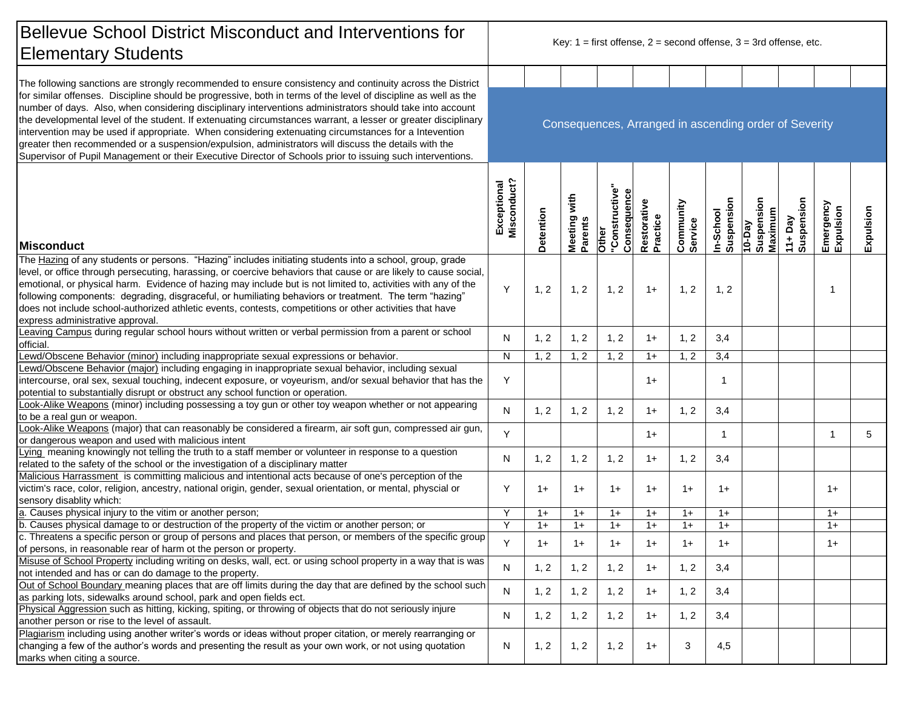| <b>Bellevue School District Misconduct and Interventions for</b><br><b>Elementary Students</b>                                                                                                                                                                                                                                                                                                                                                                                                                                                                                                                                                                                | Key: $1 =$ first offense, $2 =$ second offense, $3 = 3$ rd offense, etc. |           |                            |                                                    |                         |                      |                         |                                 |                      |                        |           |  |
|-------------------------------------------------------------------------------------------------------------------------------------------------------------------------------------------------------------------------------------------------------------------------------------------------------------------------------------------------------------------------------------------------------------------------------------------------------------------------------------------------------------------------------------------------------------------------------------------------------------------------------------------------------------------------------|--------------------------------------------------------------------------|-----------|----------------------------|----------------------------------------------------|-------------------------|----------------------|-------------------------|---------------------------------|----------------------|------------------------|-----------|--|
| The following sanctions are strongly recommended to ensure consistency and continuity across the District                                                                                                                                                                                                                                                                                                                                                                                                                                                                                                                                                                     |                                                                          |           |                            |                                                    |                         |                      |                         |                                 |                      |                        |           |  |
| for similar offenses. Discipline should be progressive, both in terms of the level of discipline as well as the<br>number of days. Also, when considering disciplinary interventions administrators should take into account<br>the developmental level of the student. If extenuating circumstances warrant, a lesser or greater disciplinary<br>intervention may be used if appropriate. When considering extenuating circumstances for a Intevention<br>greater then recommended or a suspension/expulsion, administrators will discuss the details with the<br>Supervisor of Pupil Management or their Executive Director of Schools prior to issuing such interventions. | Consequences, Arranged in ascending order of Severity                    |           |                            |                                                    |                         |                      |                         |                                 |                      |                        |           |  |
| <b>Misconduct</b>                                                                                                                                                                                                                                                                                                                                                                                                                                                                                                                                                                                                                                                             | Misconduct?<br>Exceptional                                               | Detention | with<br>Meeting<br>Parents | Other<br>"Constructive"<br>"--n.r.e<br>Consequence | Restorative<br>Practice | Community<br>Service | In-School<br>Suspension | 10-Day<br>Suspension<br>Maximum | 11+Day<br>Suspension | Emergency<br>Expulsion | Expulsion |  |
| The Hazing of any students or persons. "Hazing" includes initiating students into a school, group, grade<br>level, or office through persecuting, harassing, or coercive behaviors that cause or are likely to cause social,<br>emotional, or physical harm. Evidence of hazing may include but is not limited to, activities with any of the<br>following components: degrading, disgraceful, or humiliating behaviors or treatment. The term "hazing"<br>does not include school-authorized athletic events, contests, competitions or other activities that have<br>express administrative approval.                                                                       | Y                                                                        | 1, 2      | 1, 2                       | 1, 2                                               | $1+$                    | 1, 2                 | 1, 2                    |                                 |                      |                        |           |  |
| Leaving Campus during regular school hours without written or verbal permission from a parent or school<br>official.                                                                                                                                                                                                                                                                                                                                                                                                                                                                                                                                                          | N                                                                        | 1, 2      | 1, 2                       | 1, 2                                               | $1+$                    | 1, 2                 | 3,4                     |                                 |                      |                        |           |  |
| Lewd/Obscene Behavior (minor) including inappropriate sexual expressions or behavior.                                                                                                                                                                                                                                                                                                                                                                                                                                                                                                                                                                                         | N                                                                        | 1, 2      | 1, 2                       | 1, 2                                               | $1+$                    | 1, 2                 | 3,4                     |                                 |                      |                        |           |  |
| Lewd/Obscene Behavior (major) including engaging in inappropriate sexual behavior, including sexual<br>intercourse, oral sex, sexual touching, indecent exposure, or voyeurism, and/or sexual behavior that has the<br>potential to substantially disrupt or obstruct any school function or operation.                                                                                                                                                                                                                                                                                                                                                                       | Y                                                                        |           |                            |                                                    | $1+$                    |                      | $\mathbf{1}$            |                                 |                      |                        |           |  |
| Look-Alike Weapons (minor) including possessing a toy gun or other toy weapon whether or not appearing<br>to be a real gun or weapon.                                                                                                                                                                                                                                                                                                                                                                                                                                                                                                                                         | ${\sf N}$                                                                | 1, 2      | 1, 2                       | 1, 2                                               | $1+$                    | 1, 2                 | 3,4                     |                                 |                      |                        |           |  |
| Look-Alike Weapons (major) that can reasonably be considered a firearm, air soft gun, compressed air gun,<br>or dangerous weapon and used with malicious intent                                                                                                                                                                                                                                                                                                                                                                                                                                                                                                               | Y                                                                        |           |                            |                                                    | $1+$                    |                      | $\mathbf{1}$            |                                 |                      |                        | 5         |  |
| Lying meaning knowingly not telling the truth to a staff member or volunteer in response to a question<br>related to the safety of the school or the investigation of a disciplinary matter                                                                                                                                                                                                                                                                                                                                                                                                                                                                                   | N                                                                        | 1, 2      | 1, 2                       | 1, 2                                               | $1+$                    | 1, 2                 | 3,4                     |                                 |                      |                        |           |  |
| Malicious Harrassment is committing malicious and intentional acts because of one's perception of the<br>victim's race, color, religion, ancestry, national origin, gender, sexual orientation, or mental, physcial or<br>sensory disablity which:                                                                                                                                                                                                                                                                                                                                                                                                                            | Y                                                                        | $1+$      | $1+$                       | $1+$                                               | $1+$                    | $1+$                 | $1+$                    |                                 |                      | $1+$                   |           |  |
| a. Causes physical injury to the vitim or another person;                                                                                                                                                                                                                                                                                                                                                                                                                                                                                                                                                                                                                     | Y                                                                        | $1+$      | $1+$                       | $1+$                                               | $1+$                    | $1+$                 | $1+$                    |                                 |                      | $1+$                   |           |  |
| b. Causes physical damage to or destruction of the property of the victim or another person; or                                                                                                                                                                                                                                                                                                                                                                                                                                                                                                                                                                               | Y                                                                        | $1+$      | $1+$                       | $1+$                                               | $1+$                    | $1+$                 | $1+$                    |                                 |                      | $1+$                   |           |  |
| c. Threatens a specific person or group of persons and places that person, or members of the specific group<br>of persons, in reasonable rear of harm ot the person or property.                                                                                                                                                                                                                                                                                                                                                                                                                                                                                              | Y                                                                        | $1+$      | $1+$                       | $1+$                                               | $1+$                    | $1+$                 | $1+$                    |                                 |                      | $1+$                   |           |  |
| Misuse of School Property including writing on desks, wall, ect. or using school property in a way that is was<br>not intended and has or can do damage to the property.                                                                                                                                                                                                                                                                                                                                                                                                                                                                                                      | N                                                                        | 1, 2      | 1, 2                       | 1, 2                                               | $1+$                    | 1, 2                 | 3,4                     |                                 |                      |                        |           |  |
| Out of School Boundary meaning places that are off limits during the day that are defined by the school such<br>as parking lots, sidewalks around school, park and open fields ect.                                                                                                                                                                                                                                                                                                                                                                                                                                                                                           | $\mathsf{N}$                                                             | 1, 2      | 1, 2                       | 1, 2                                               | $1+$                    | 1, 2                 | 3,4                     |                                 |                      |                        |           |  |
| Physical Aggression such as hitting, kicking, spiting, or throwing of objects that do not seriously injure<br>another person or rise to the level of assault.                                                                                                                                                                                                                                                                                                                                                                                                                                                                                                                 | N                                                                        | 1, 2      | 1, 2                       | 1, 2                                               | $1+$                    | 1, 2                 | 3,4                     |                                 |                      |                        |           |  |
| Plagiarism including using another writer's words or ideas without proper citation, or merely rearranging or<br>changing a few of the author's words and presenting the result as your own work, or not using quotation<br>marks when citing a source.                                                                                                                                                                                                                                                                                                                                                                                                                        | ${\sf N}$                                                                | 1, 2      | 1, 2                       | 1, 2                                               | $1+$                    | 3                    | 4,5                     |                                 |                      |                        |           |  |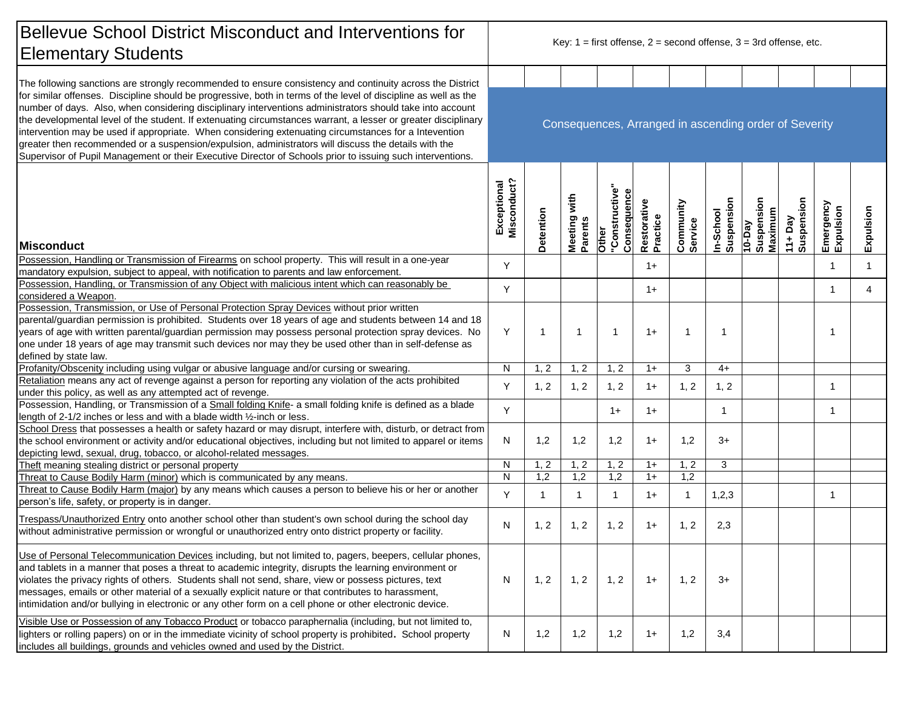| <b>Bellevue School District Misconduct and Interventions for</b><br><b>Elementary Students</b>                                                                                                                                                                                                                                                                                                                                                                                                                                                                                                                                                                                | Key: $1 =$ first offense, $2 =$ second offense, $3 = 3$ rd offense, etc. |              |                         |                                        |                         |                      |                         |                                         |                      |                        |                |  |  |
|-------------------------------------------------------------------------------------------------------------------------------------------------------------------------------------------------------------------------------------------------------------------------------------------------------------------------------------------------------------------------------------------------------------------------------------------------------------------------------------------------------------------------------------------------------------------------------------------------------------------------------------------------------------------------------|--------------------------------------------------------------------------|--------------|-------------------------|----------------------------------------|-------------------------|----------------------|-------------------------|-----------------------------------------|----------------------|------------------------|----------------|--|--|
| The following sanctions are strongly recommended to ensure consistency and continuity across the District                                                                                                                                                                                                                                                                                                                                                                                                                                                                                                                                                                     |                                                                          |              |                         |                                        |                         |                      |                         |                                         |                      |                        |                |  |  |
| for similar offenses. Discipline should be progressive, both in terms of the level of discipline as well as the<br>number of days. Also, when considering disciplinary interventions administrators should take into account<br>the developmental level of the student. If extenuating circumstances warrant, a lesser or greater disciplinary<br>intervention may be used if appropriate. When considering extenuating circumstances for a Intevention<br>greater then recommended or a suspension/expulsion, administrators will discuss the details with the<br>Supervisor of Pupil Management or their Executive Director of Schools prior to issuing such interventions. | Consequences, Arranged in ascending order of Severity                    |              |                         |                                        |                         |                      |                         |                                         |                      |                        |                |  |  |
| <b>Misconduct</b>                                                                                                                                                                                                                                                                                                                                                                                                                                                                                                                                                                                                                                                             | Misconduct?<br>Exceptional                                               | Detention    | Meeting with<br>Parents | Other<br>"Constructive"<br>Consequence | Restorative<br>Practice | Community<br>Service | In-School<br>Suspension | Suspension<br>Maximum<br>$\sqrt{eq-01}$ | 11+Day<br>Suspension | Emergency<br>Expulsion | Expulsion      |  |  |
| Possession, Handling or Transmission of Firearms on school property. This will result in a one-year                                                                                                                                                                                                                                                                                                                                                                                                                                                                                                                                                                           | Y                                                                        |              |                         |                                        | $1+$                    |                      |                         |                                         |                      | -1                     | $\mathbf{1}$   |  |  |
| mandatory expulsion, subject to appeal, with notification to parents and law enforcement.                                                                                                                                                                                                                                                                                                                                                                                                                                                                                                                                                                                     |                                                                          |              |                         |                                        |                         |                      |                         |                                         |                      |                        |                |  |  |
| Possession, Handling, or Transmission of any Object with malicious intent which can reasonably be<br>considered a Weapon.                                                                                                                                                                                                                                                                                                                                                                                                                                                                                                                                                     | Y                                                                        |              |                         |                                        | $1+$                    |                      |                         |                                         |                      | -1                     | $\overline{4}$ |  |  |
| Possession, Transmission, or Use of Personal Protection Spray Devices without prior written                                                                                                                                                                                                                                                                                                                                                                                                                                                                                                                                                                                   |                                                                          |              |                         |                                        |                         |                      |                         |                                         |                      |                        |                |  |  |
| parental/guardian permission is prohibited. Students over 18 years of age and students between 14 and 18<br>years of age with written parental/guardian permission may possess personal protection spray devices. No<br>one under 18 years of age may transmit such devices nor may they be used other than in self-defense as                                                                                                                                                                                                                                                                                                                                                | Y                                                                        | -1           | $\mathbf{1}$            | $\mathbf{1}$                           | $1+$                    | $\mathbf 1$          | -1                      |                                         |                      | -1                     |                |  |  |
| defined by state law.                                                                                                                                                                                                                                                                                                                                                                                                                                                                                                                                                                                                                                                         |                                                                          |              |                         |                                        |                         |                      |                         |                                         |                      |                        |                |  |  |
| Profanity/Obscenity including using vulgar or abusive language and/or cursing or swearing.                                                                                                                                                                                                                                                                                                                                                                                                                                                                                                                                                                                    | ${\sf N}$                                                                | 1, 2         | 1, 2                    | 1, 2                                   | $1+$                    | 3                    | $4+$                    |                                         |                      |                        |                |  |  |
| Retaliation means any act of revenge against a person for reporting any violation of the acts prohibited<br>under this policy, as well as any attempted act of revenge.                                                                                                                                                                                                                                                                                                                                                                                                                                                                                                       | Y                                                                        | 1, 2         | 1, 2                    | 1, 2                                   | $1+$                    | 1, 2                 | 1, 2                    |                                         |                      | -1                     |                |  |  |
| Possession, Handling, or Transmission of a Small folding Knife- a small folding knife is defined as a blade<br>length of 2-1/2 inches or less and with a blade width 1/2-inch or less.                                                                                                                                                                                                                                                                                                                                                                                                                                                                                        | Y                                                                        |              |                         | $1+$                                   | $1+$                    |                      | $\mathbf 1$             |                                         |                      | $\mathbf 1$            |                |  |  |
| School Dress that possesses a health or safety hazard or may disrupt, interfere with, disturb, or detract from<br>the school environment or activity and/or educational objectives, including but not limited to apparel or items<br>depicting lewd, sexual, drug, tobacco, or alcohol-related messages.                                                                                                                                                                                                                                                                                                                                                                      | N                                                                        | 1,2          | 1,2                     | 1,2                                    | $1+$                    | 1,2                  | $3+$                    |                                         |                      |                        |                |  |  |
| Theft meaning stealing district or personal property                                                                                                                                                                                                                                                                                                                                                                                                                                                                                                                                                                                                                          | N                                                                        | 1, 2         | 1, 2                    | 1, 2                                   | $1+$                    | 1, 2                 | 3                       |                                         |                      |                        |                |  |  |
| Threat to Cause Bodily Harm (minor) which is communicated by any means.                                                                                                                                                                                                                                                                                                                                                                                                                                                                                                                                                                                                       | N                                                                        | 1,2          | 1,2                     | 1,2                                    | $1+$                    | 1,2                  |                         |                                         |                      |                        |                |  |  |
| Threat to Cause Bodily Harm (major) by any means which causes a person to believe his or her or another<br>person's life, safety, or property is in danger.                                                                                                                                                                                                                                                                                                                                                                                                                                                                                                                   | Y                                                                        | $\mathbf{1}$ | 1                       | $\mathbf{1}$                           | $1+$                    | -1                   | 1,2,3                   |                                         |                      | 1                      |                |  |  |
| Trespass/Unauthorized Entry onto another school other than student's own school during the school day<br>without administrative permission or wrongful or unauthorized entry onto district property or facility.                                                                                                                                                                                                                                                                                                                                                                                                                                                              | N                                                                        | 1, 2         | 1, 2                    | 1, 2                                   | $1+$                    | 1, 2                 | 2,3                     |                                         |                      |                        |                |  |  |
| Use of Personal Telecommunication Devices including, but not limited to, pagers, beepers, cellular phones,<br>and tablets in a manner that poses a threat to academic integrity, disrupts the learning environment or<br>violates the privacy rights of others. Students shall not send, share, view or possess pictures, text<br>messages, emails or other material of a sexually explicit nature or that contributes to harassment,<br>intimidation and/or bullying in electronic or any other form on a cell phone or other electronic device.                                                                                                                             | N                                                                        | 1, 2         | 1, 2                    | 1, 2                                   | $1+$                    | 1, 2                 | $3+$                    |                                         |                      |                        |                |  |  |
| Visible Use or Possession of any Tobacco Product or tobacco paraphernalia (including, but not limited to,<br>lighters or rolling papers) on or in the immediate vicinity of school property is prohibited. School property<br>includes all buildings, grounds and vehicles owned and used by the District.                                                                                                                                                                                                                                                                                                                                                                    | N                                                                        | 1,2          | 1,2                     | 1,2                                    | $1+$                    | 1,2                  | 3,4                     |                                         |                      |                        |                |  |  |